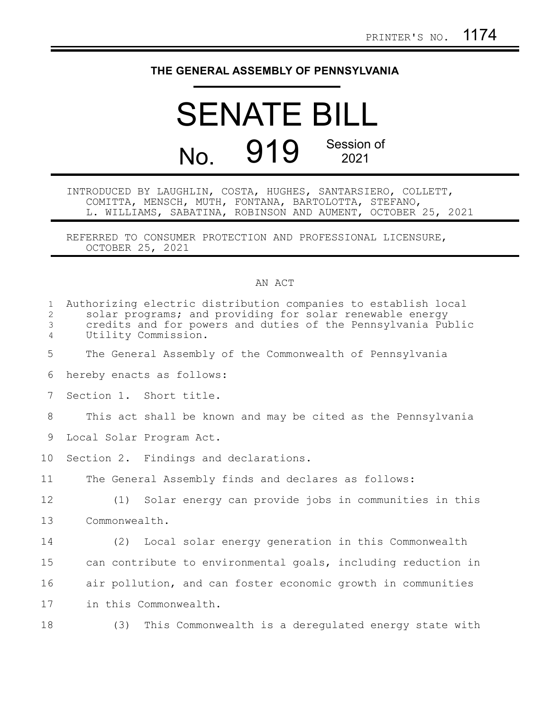## **THE GENERAL ASSEMBLY OF PENNSYLVANIA**

## SENATE BILL No. 919 Session of 2021

INTRODUCED BY LAUGHLIN, COSTA, HUGHES, SANTARSIERO, COLLETT, COMITTA, MENSCH, MUTH, FONTANA, BARTOLOTTA, STEFANO, L. WILLIAMS, SABATINA, ROBINSON AND AUMENT, OCTOBER 25, 2021

REFERRED TO CONSUMER PROTECTION AND PROFESSIONAL LICENSURE, OCTOBER 25, 2021

## AN ACT

| $\mathbf{1}$<br>2<br>3<br>$\overline{4}$ | Authorizing electric distribution companies to establish local<br>solar programs; and providing for solar renewable energy<br>credits and for powers and duties of the Pennsylvania Public<br>Utility Commission. |
|------------------------------------------|-------------------------------------------------------------------------------------------------------------------------------------------------------------------------------------------------------------------|
| 5                                        | The General Assembly of the Commonwealth of Pennsylvania                                                                                                                                                          |
| 6                                        | hereby enacts as follows:                                                                                                                                                                                         |
| $7\phantom{.}$                           | Section 1. Short title.                                                                                                                                                                                           |
| 8                                        | This act shall be known and may be cited as the Pennsylvania                                                                                                                                                      |
| 9                                        | Local Solar Program Act.                                                                                                                                                                                          |
| 10                                       | Section 2. Findings and declarations.                                                                                                                                                                             |
| 11                                       | The General Assembly finds and declares as follows:                                                                                                                                                               |
| 12                                       | (1) Solar energy can provide jobs in communities in this                                                                                                                                                          |
| 13                                       | Commonwealth.                                                                                                                                                                                                     |
| 14                                       | (2) Local solar energy generation in this Commonwealth                                                                                                                                                            |
| 15                                       | can contribute to environmental goals, including reduction in                                                                                                                                                     |
| 16                                       | air pollution, and can foster economic growth in communities                                                                                                                                                      |
| 17                                       | in this Commonwealth.                                                                                                                                                                                             |
| 18                                       | (3) This Commonwealth is a deregulated energy state with                                                                                                                                                          |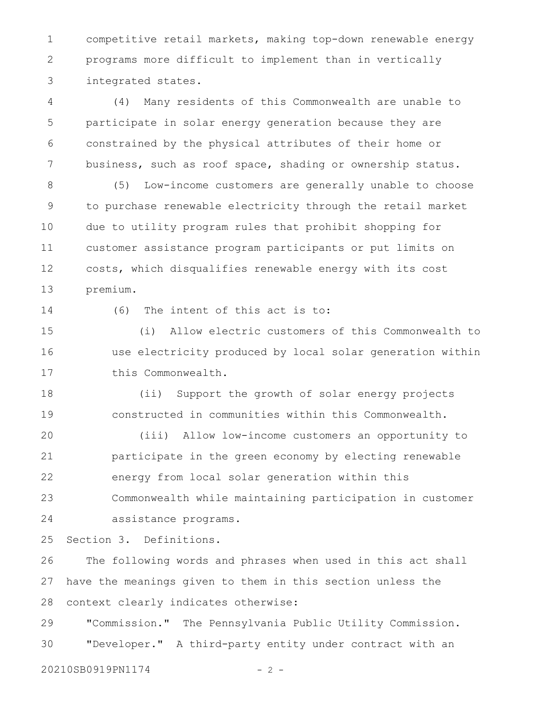competitive retail markets, making top-down renewable energy programs more difficult to implement than in vertically integrated states. 1 2 3

(4) Many residents of this Commonwealth are unable to participate in solar energy generation because they are constrained by the physical attributes of their home or business, such as roof space, shading or ownership status. 4 5 6 7

(5) Low-income customers are generally unable to choose to purchase renewable electricity through the retail market due to utility program rules that prohibit shopping for customer assistance program participants or put limits on costs, which disqualifies renewable energy with its cost premium. 8 9 10 11 12 13

14

(6) The intent of this act is to:

(i) Allow electric customers of this Commonwealth to use electricity produced by local solar generation within this Commonwealth. 15 16 17

(ii) Support the growth of solar energy projects constructed in communities within this Commonwealth. 18 19

(iii) Allow low-income customers an opportunity to participate in the green economy by electing renewable energy from local solar generation within this Commonwealth while maintaining participation in customer assistance programs. 20 21 22 23 24

Section 3. Definitions. 25

The following words and phrases when used in this act shall have the meanings given to them in this section unless the context clearly indicates otherwise: 26 27 28

"Commission." The Pennsylvania Public Utility Commission. "Developer." A third-party entity under contract with an 29 30

20210SB0919PN1174 - 2 -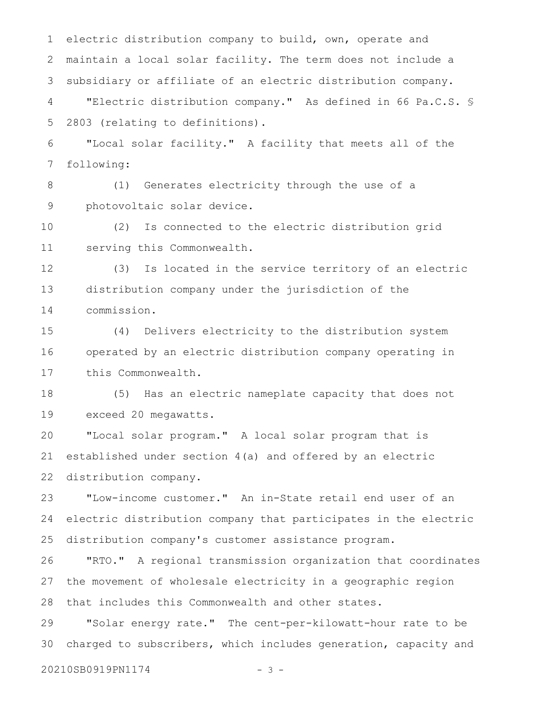electric distribution company to build, own, operate and maintain a local solar facility. The term does not include a subsidiary or affiliate of an electric distribution company. 1 2 3

"Electric distribution company." As defined in 66 Pa.C.S. § 2803 (relating to definitions). 4 5

"Local solar facility." A facility that meets all of the following: 6 7

(1) Generates electricity through the use of a photovoltaic solar device. 8 9

(2) Is connected to the electric distribution grid serving this Commonwealth. 10 11

(3) Is located in the service territory of an electric distribution company under the jurisdiction of the commission. 12 13 14

(4) Delivers electricity to the distribution system operated by an electric distribution company operating in this Commonwealth. 15 16 17

(5) Has an electric nameplate capacity that does not exceed 20 megawatts. 18 19

"Local solar program." A local solar program that is established under section 4(a) and offered by an electric distribution company. 20 21 22

"Low-income customer." An in-State retail end user of an electric distribution company that participates in the electric distribution company's customer assistance program. 23 24 25

"RTO." A regional transmission organization that coordinates the movement of wholesale electricity in a geographic region that includes this Commonwealth and other states. 26 27 28

"Solar energy rate." The cent-per-kilowatt-hour rate to be charged to subscribers, which includes generation, capacity and 29 30

20210SB0919PN1174 - 3 -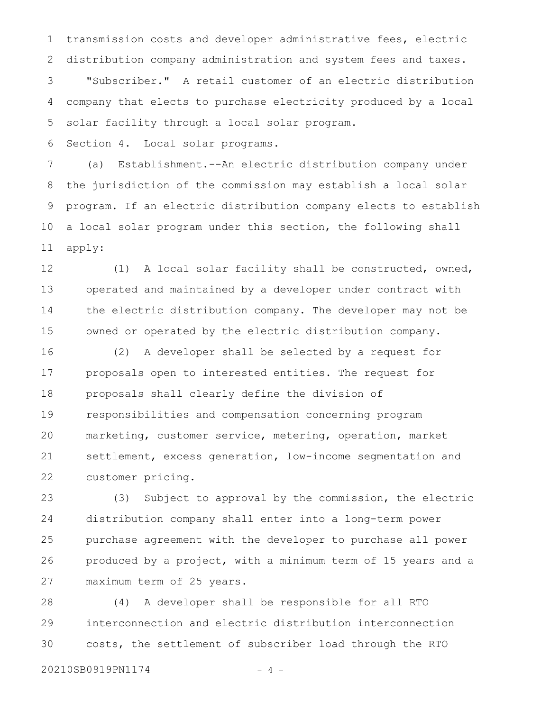transmission costs and developer administrative fees, electric distribution company administration and system fees and taxes. "Subscriber." A retail customer of an electric distribution company that elects to purchase electricity produced by a local solar facility through a local solar program. 1 2 3 4 5

Section 4. Local solar programs. 6

(a) Establishment.--An electric distribution company under the jurisdiction of the commission may establish a local solar program. If an electric distribution company elects to establish a local solar program under this section, the following shall apply: 7 8 9 10 11

(1) A local solar facility shall be constructed, owned, operated and maintained by a developer under contract with the electric distribution company. The developer may not be owned or operated by the electric distribution company. 12 13 14 15

(2) A developer shall be selected by a request for proposals open to interested entities. The request for proposals shall clearly define the division of responsibilities and compensation concerning program marketing, customer service, metering, operation, market settlement, excess generation, low-income segmentation and customer pricing. 16 17 18 19 20 21 22

(3) Subject to approval by the commission, the electric distribution company shall enter into a long-term power purchase agreement with the developer to purchase all power produced by a project, with a minimum term of 15 years and a maximum term of 25 years. 23 24 25 26 27

(4) A developer shall be responsible for all RTO interconnection and electric distribution interconnection costs, the settlement of subscriber load through the RTO 28 29 30

```
20210SB0919PN1174 - 4 -
```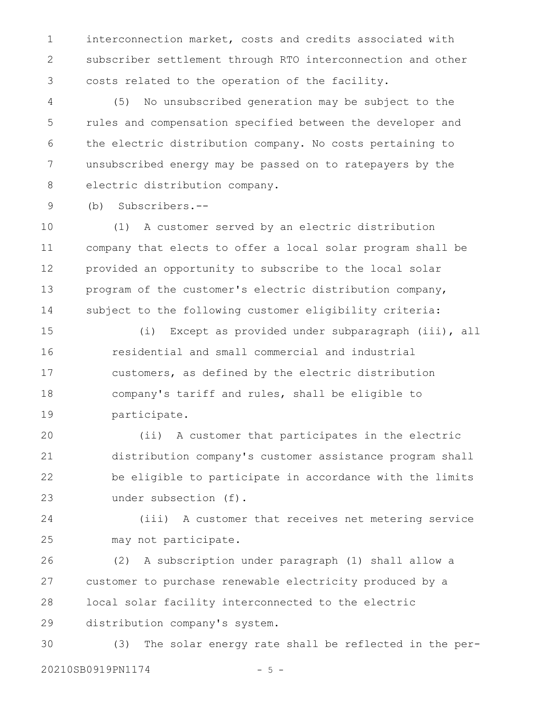interconnection market, costs and credits associated with subscriber settlement through RTO interconnection and other costs related to the operation of the facility. 1 2 3

(5) No unsubscribed generation may be subject to the rules and compensation specified between the developer and the electric distribution company. No costs pertaining to unsubscribed energy may be passed on to ratepayers by the electric distribution company. 4 5 6 7 8

(b) Subscribers.-- 9

(1) A customer served by an electric distribution company that elects to offer a local solar program shall be provided an opportunity to subscribe to the local solar program of the customer's electric distribution company, subject to the following customer eligibility criteria: 10 11 12 13 14

(i) Except as provided under subparagraph (iii), all residential and small commercial and industrial customers, as defined by the electric distribution company's tariff and rules, shall be eligible to participate. 15 16 17 18 19

(ii) A customer that participates in the electric distribution company's customer assistance program shall be eligible to participate in accordance with the limits under subsection (f). 20 21 22 23

(iii) A customer that receives net metering service may not participate. 24 25

(2) A subscription under paragraph (1) shall allow a customer to purchase renewable electricity produced by a local solar facility interconnected to the electric distribution company's system. 26 27 28 29

(3) The solar energy rate shall be reflected in the per-20210SB0919PN1174 - 5 -30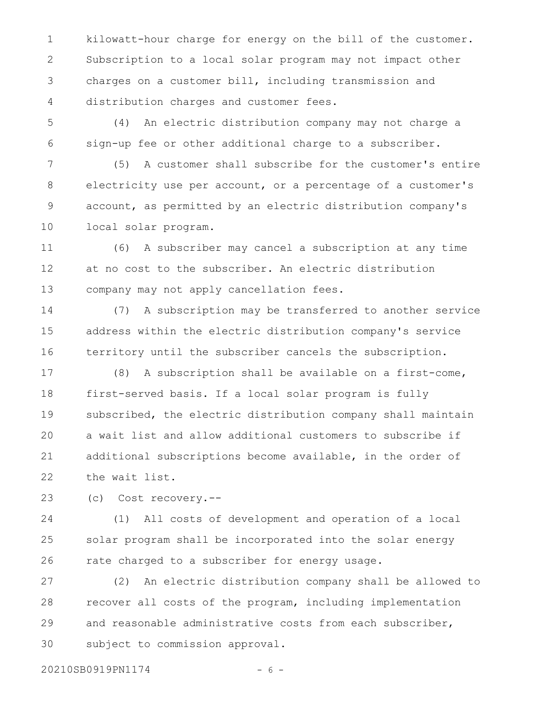kilowatt-hour charge for energy on the bill of the customer. Subscription to a local solar program may not impact other charges on a customer bill, including transmission and distribution charges and customer fees. 1 2 3 4

(4) An electric distribution company may not charge a sign-up fee or other additional charge to a subscriber. 5 6

(5) A customer shall subscribe for the customer's entire electricity use per account, or a percentage of a customer's account, as permitted by an electric distribution company's local solar program. 7 8 9 10

(6) A subscriber may cancel a subscription at any time at no cost to the subscriber. An electric distribution company may not apply cancellation fees. 11 12 13

(7) A subscription may be transferred to another service address within the electric distribution company's service territory until the subscriber cancels the subscription. 14 15 16

(8) A subscription shall be available on a first-come, first-served basis. If a local solar program is fully subscribed, the electric distribution company shall maintain a wait list and allow additional customers to subscribe if additional subscriptions become available, in the order of the wait list. 17 18 19 20 21 22

(c) Cost recovery.-- 23

(1) All costs of development and operation of a local solar program shall be incorporated into the solar energy rate charged to a subscriber for energy usage. 24 25 26

(2) An electric distribution company shall be allowed to recover all costs of the program, including implementation and reasonable administrative costs from each subscriber, subject to commission approval. 27 28 29 30

20210SB0919PN1174 - 6 -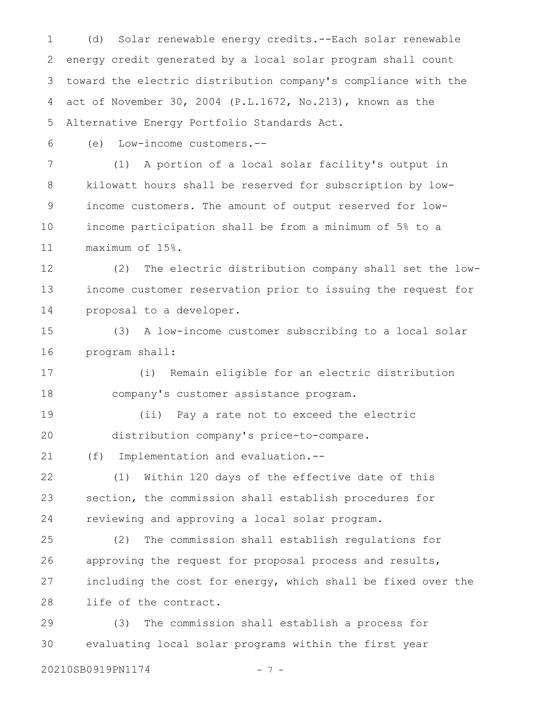(d) Solar renewable energy credits.--Each solar renewable energy credit generated by a local solar program shall count toward the electric distribution company's compliance with the act of November 30, 2004 (P.L.1672, No.213), known as the Alternative Energy Portfolio Standards Act. 1 2 3 4 5

6

(e) Low-income customers.--

(1) A portion of a local solar facility's output in kilowatt hours shall be reserved for subscription by lowincome customers. The amount of output reserved for lowincome participation shall be from a minimum of 5% to a maximum of 15%. 7 8 9 10 11

(2) The electric distribution company shall set the lowincome customer reservation prior to issuing the request for proposal to a developer. 12 13 14

(3) A low-income customer subscribing to a local solar program shall: 15 16

(i) Remain eligible for an electric distribution company's customer assistance program. 17 18

19

20

(ii) Pay a rate not to exceed the electric distribution company's price-to-compare.

(f) Implementation and evaluation.-- 21

(1) Within 120 days of the effective date of this section, the commission shall establish procedures for reviewing and approving a local solar program. 22 23 24

(2) The commission shall establish regulations for approving the request for proposal process and results, including the cost for energy, which shall be fixed over the life of the contract. 25 26 27 28

(3) The commission shall establish a process for evaluating local solar programs within the first year 29 30

20210SB0919PN1174 - 7 -